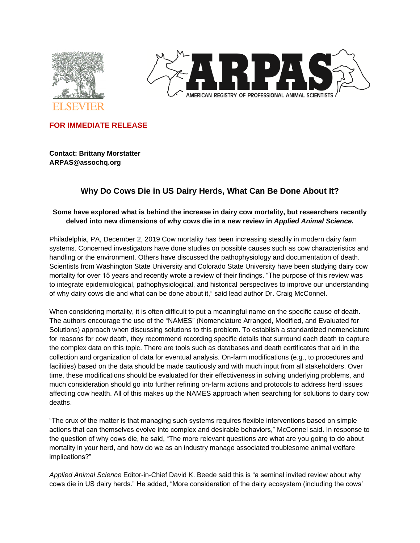



**FOR IMMEDIATE RELEASE**

**Contact: Brittany Morstatter ARPAS@assochq.org**

# **Why Do Cows Die in US Dairy Herds, What Can Be Done About It?**

## **Some have explored what is behind the increase in dairy cow mortality, but researchers recently delved into new dimensions of why cows die in a new review in** *Applied Animal Science.*

Philadelphia, PA, December 2, 2019 Cow mortality has been increasing steadily in modern dairy farm systems. Concerned investigators have done studies on possible causes such as cow characteristics and handling or the environment. Others have discussed the pathophysiology and documentation of death. Scientists from Washington State University and Colorado State University have been studying dairy cow mortality for over 15 years and recently wrote a review of their findings. "The purpose of this review was to integrate epidemiological, pathophysiological, and historical perspectives to improve our understanding of why dairy cows die and what can be done about it," said lead author Dr. Craig McConnel.

When considering mortality, it is often difficult to put a meaningful name on the specific cause of death. The authors encourage the use of the "NAMES" (Nomenclature Arranged, Modified, and Evaluated for Solutions) approach when discussing solutions to this problem. To establish a standardized nomenclature for reasons for cow death, they recommend recording specific details that surround each death to capture the complex data on this topic. There are tools such as databases and death certificates that aid in the collection and organization of data for eventual analysis. On-farm modifications (e.g., to procedures and facilities) based on the data should be made cautiously and with much input from all stakeholders. Over time, these modifications should be evaluated for their effectiveness in solving underlying problems, and much consideration should go into further refining on-farm actions and protocols to address herd issues affecting cow health. All of this makes up the NAMES approach when searching for solutions to dairy cow deaths.

"The crux of the matter is that managing such systems requires flexible interventions based on simple actions that can themselves evolve into complex and desirable behaviors," McConnel said. In response to the question of why cows die, he said, "The more relevant questions are what are you going to do about mortality in your herd, and how do we as an industry manage associated troublesome animal welfare implications?"

*Applied Animal Science* Editor-in-Chief David K. Beede said this is "a seminal invited review about why cows die in US dairy herds." He added, "More consideration of the dairy ecosystem (including the cows'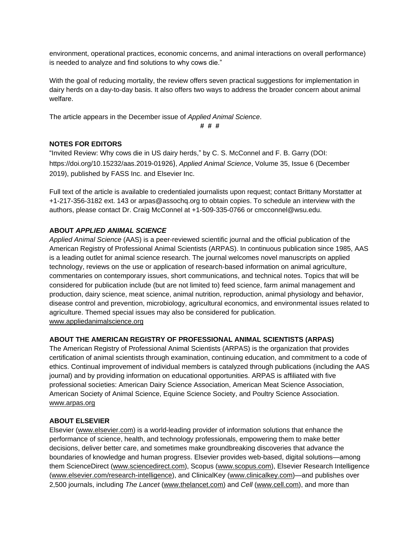environment, operational practices, economic concerns, and animal interactions on overall performance) is needed to analyze and find solutions to why cows die."

With the goal of reducing mortality, the review offers seven practical suggestions for implementation in dairy herds on a day-to-day basis. It also offers two ways to address the broader concern about animal welfare.

The article appears in the December issue of *Applied Animal Science*.

**# # #**

## **NOTES FOR EDITORS**

"Invited Review: Why cows die in US dairy herds," by C. S. McConnel and F. B. Garry (DOI: https://doi.org/10.15232/aas.2019-01926), *Applied Animal Science*, Volume 35, Issue 6 (December 2019), published by FASS Inc. and Elsevier Inc.

Full text of the article is available to credentialed journalists upon request; contact Brittany Morstatter at +1-217-356-3182 ext. 143 or arpas@assochq.org to obtain copies. To schedule an interview with the authors, please contact Dr. Craig McConnel at +1-509-335-0766 or cmcconnel@wsu.edu.

# **ABOUT** *APPLIED ANIMAL SCIENCE*

*Applied Animal Science* (AAS) is a peer-reviewed scientific journal and the official publication of the American Registry of Professional Animal Scientists (ARPAS). In continuous publication since 1985, AAS is a leading outlet for animal science research. The journal welcomes novel manuscripts on applied technology, reviews on the use or application of research-based information on animal agriculture, commentaries on contemporary issues, short communications, and technical notes. Topics that will be considered for publication include (but are not limited to) feed science, farm animal management and production, dairy science, meat science, animal nutrition, reproduction, animal physiology and behavior, disease control and prevention, microbiology, agricultural economics, and environmental issues related to agriculture. Themed special issues may also be considered for publication. [www.appliedanimalscience.org](http://www.appliedanimalscience.org/)

### **ABOUT THE AMERICAN REGISTRY OF PROFESSIONAL ANIMAL SCIENTISTS (ARPAS)**

The American Registry of Professional Animal Scientists (ARPAS) is the organization that provides certification of animal scientists through examination, continuing education, and commitment to a code of ethics. Continual improvement of individual members is catalyzed through publications (including the AAS journal) and by providing information on educational opportunities. ARPAS is affiliated with five professional societies: American Dairy Science Association, American Meat Science Association, American Society of Animal Science, Equine Science Society, and Poultry Science Association. [www.arpas.org](http://www.arpas.org/)

### **ABOUT ELSEVIER**

Elsevier [\(www.elsevier.com\)](http://www.elsevier.com/) is a world-leading provider of information solutions that enhance the performance of science, health, and technology professionals, empowering them to make better decisions, deliver better care, and sometimes make groundbreaking discoveries that advance the boundaries of knowledge and human progress. Elsevier provides web-based, digital solutions—among them ScienceDirect [\(www.sciencedirect.com\)](http://www.sciencedirect.com/), Scopus [\(www.scopus.com\)](http://www.scopus.com/), Elsevier Research Intelligence [\(www.elsevier.com/research-intelligence\)](http://www.elsevier.com/research-intelligence), and ClinicalKey [\(www.clinicalkey.com\)](http://www.clinicalkey.com/)—and publishes over 2,500 journals, including *The Lancet* [\(www.thelancet.com\)](http://www.thelancet.com/) and *Cell* [\(www.cell.com\)](http://www.cell.com/), and more than